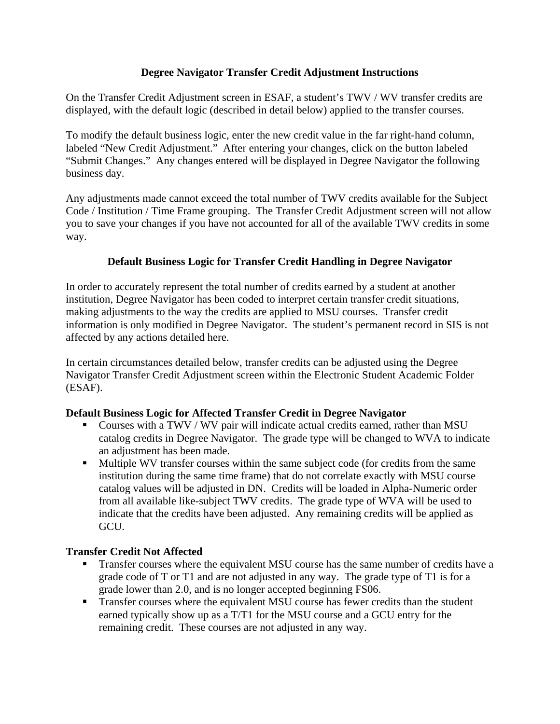## **Degree Navigator Transfer Credit Adjustment Instructions**

On the Transfer Credit Adjustment screen in ESAF, a student's TWV / WV transfer credits are displayed, with the default logic (described in detail below) applied to the transfer courses.

To modify the default business logic, enter the new credit value in the far right-hand column, labeled "New Credit Adjustment." After entering your changes, click on the button labeled "Submit Changes." Any changes entered will be displayed in Degree Navigator the following business day.

Any adjustments made cannot exceed the total number of TWV credits available for the Subject Code / Institution / Time Frame grouping. The Transfer Credit Adjustment screen will not allow you to save your changes if you have not accounted for all of the available TWV credits in some way.

## **Default Business Logic for Transfer Credit Handling in Degree Navigator**

In order to accurately represent the total number of credits earned by a student at another institution, Degree Navigator has been coded to interpret certain transfer credit situations, making adjustments to the way the credits are applied to MSU courses. Transfer credit information is only modified in Degree Navigator. The student's permanent record in SIS is not affected by any actions detailed here.

In certain circumstances detailed below, transfer credits can be adjusted using the Degree Navigator Transfer Credit Adjustment screen within the Electronic Student Academic Folder (ESAF).

## **Default Business Logic for Affected Transfer Credit in Degree Navigator**

- Courses with a TWV / WV pair will indicate actual credits earned, rather than MSU catalog credits in Degree Navigator. The grade type will be changed to WVA to indicate an adjustment has been made.
- Multiple WV transfer courses within the same subject code (for credits from the same institution during the same time frame) that do not correlate exactly with MSU course catalog values will be adjusted in DN. Credits will be loaded in Alpha-Numeric order from all available like-subject TWV credits. The grade type of WVA will be used to indicate that the credits have been adjusted. Any remaining credits will be applied as GCU.

## **Transfer Credit Not Affected**

- **Transfer courses where the equivalent MSU course has the same number of credits have a** grade code of T or T1 and are not adjusted in any way. The grade type of T1 is for a grade lower than 2.0, and is no longer accepted beginning FS06.
- Transfer courses where the equivalent MSU course has fewer credits than the student earned typically show up as a T/T1 for the MSU course and a GCU entry for the remaining credit. These courses are not adjusted in any way.